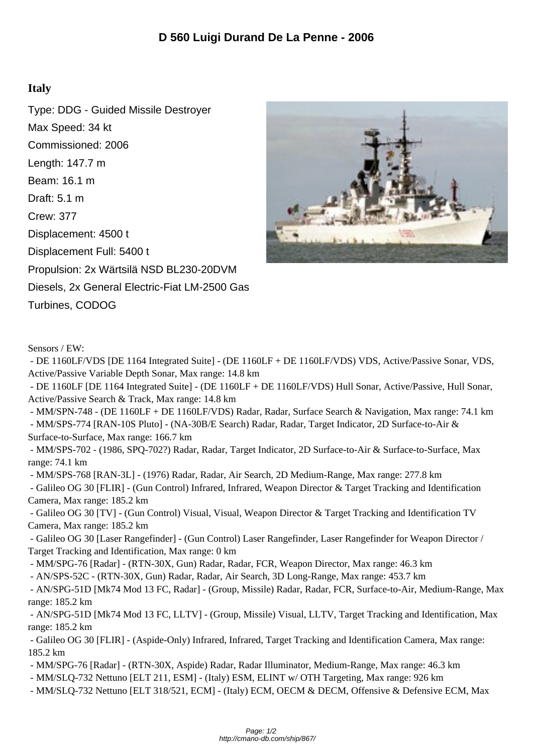## **Italy**

Type: DDG - Guided Missile Destroyer Max Speed: 34 kt Commissioned: 2006 Length: 147.7 m Beam: 16.1 m Draft: 5.1 m Crew: 377 Displacement: 4500 t Displacement Full: 5400 t Propulsion: 2x Wärtsilä NSD BL230-20DVM Diesels, 2x General Electric-Fiat LM-2500 Gas Turbines, CODOG



Sensors / EW:

 - DE 1160LF/VDS [DE 1164 Integrated Suite] - (DE 1160LF + DE 1160LF/VDS) VDS, Active/Passive Sonar, VDS, Active/Passive Variable Depth Sonar, Max range: 14.8 km

 - DE 1160LF [DE 1164 Integrated Suite] - (DE 1160LF + DE 1160LF/VDS) Hull Sonar, Active/Passive, Hull Sonar, Active/Passive Search & Track, Max range: 14.8 km

 - MM/SPN-748 - (DE 1160LF + DE 1160LF/VDS) Radar, Radar, Surface Search & Navigation, Max range: 74.1 km - MM/SPS-774 [RAN-10S Pluto] - (NA-30B/E Search) Radar, Radar, Target Indicator, 2D Surface-to-Air &

Surface-to-Surface, Max range: 166.7 km

 - MM/SPS-702 - (1986, SPQ-702?) Radar, Radar, Target Indicator, 2D Surface-to-Air & Surface-to-Surface, Max range: 74.1 km

- MM/SPS-768 [RAN-3L] - (1976) Radar, Radar, Air Search, 2D Medium-Range, Max range: 277.8 km

 - Galileo OG 30 [FLIR] - (Gun Control) Infrared, Infrared, Weapon Director & Target Tracking and Identification Camera, Max range: 185.2 km

 - Galileo OG 30 [TV] - (Gun Control) Visual, Visual, Weapon Director & Target Tracking and Identification TV Camera, Max range: 185.2 km

 - Galileo OG 30 [Laser Rangefinder] - (Gun Control) Laser Rangefinder, Laser Rangefinder for Weapon Director / Target Tracking and Identification, Max range: 0 km

- MM/SPG-76 [Radar] - (RTN-30X, Gun) Radar, Radar, FCR, Weapon Director, Max range: 46.3 km

- AN/SPS-52C - (RTN-30X, Gun) Radar, Radar, Air Search, 3D Long-Range, Max range: 453.7 km

 - AN/SPG-51D [Mk74 Mod 13 FC, Radar] - (Group, Missile) Radar, Radar, FCR, Surface-to-Air, Medium-Range, Max range: 185.2 km

 - AN/SPG-51D [Mk74 Mod 13 FC, LLTV] - (Group, Missile) Visual, LLTV, Target Tracking and Identification, Max range: 185.2 km

 - Galileo OG 30 [FLIR] - (Aspide-Only) Infrared, Infrared, Target Tracking and Identification Camera, Max range: 185.2 km

- MM/SPG-76 [Radar] - (RTN-30X, Aspide) Radar, Radar Illuminator, Medium-Range, Max range: 46.3 km

- MM/SLQ-732 Nettuno [ELT 211, ESM] - (Italy) ESM, ELINT w/ OTH Targeting, Max range: 926 km

- MM/SLQ-732 Nettuno [ELT 318/521, ECM] - (Italy) ECM, OECM & DECM, Offensive & Defensive ECM, Max